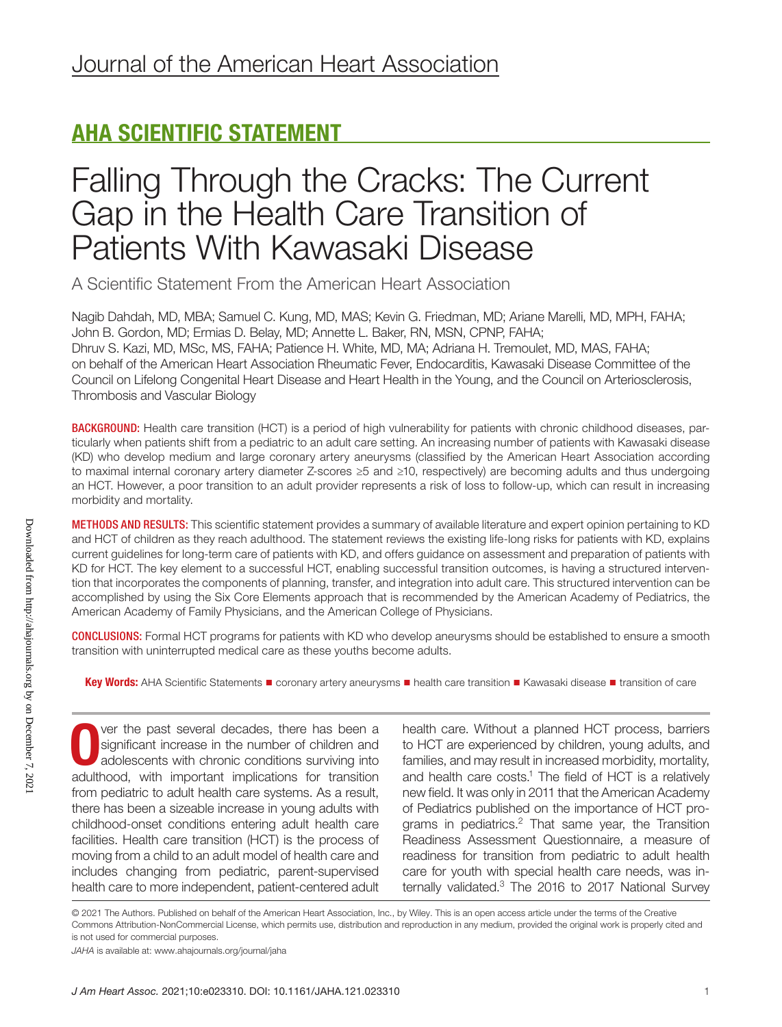## AHA SCIENTIFIC STATEMENT

# Falling Through the Cracks: The Current Gap in the Health Care Transition of Patients With Kawasaki Disease

A Scientific Statement From the American Heart Association

Nagib Dahdah, MD, MBA; Samuel C. Kung, MD, MAS; Kevin G. Friedman, MD; Ariane Marelli, MD, MPH, FAHA; John B. Gordon, MD; Ermias D. Belay, MD; Annette L. Baker, RN, MSN, CPNP, FAHA; Dhruv S. Kazi, MD, MSc, MS, FAHA; Patience H. White, MD, MA; Adriana H. Tremoulet, MD, MAS, FAHA; on behalf of the American Heart Association Rheumatic Fever, Endocarditis, Kawasaki Disease Committee of the Council on Lifelong Congenital Heart Disease and Heart Health in the Young, and the Council on Arteriosclerosis, Thrombosis and Vascular Biology

BACKGROUND: Health care transition (HCT) is a period of high vulnerability for patients with chronic childhood diseases, particularly when patients shift from a pediatric to an adult care setting. An increasing number of patients with Kawasaki disease (KD) who develop medium and large coronary artery aneurysms (classified by the American Heart Association according to maximal internal coronary artery diameter Z-scores ≥5 and ≥10, respectively) are becoming adults and thus undergoing an HCT. However, a poor transition to an adult provider represents a risk of loss to follow-up, which can result in increasing morbidity and mortality.

METHODS AND RESULTS: This scientific statement provides a summary of available literature and expert opinion pertaining to KD and HCT of children as they reach adulthood. The statement reviews the existing life-long risks for patients with KD, explains current guidelines for long-term care of patients with KD, and offers guidance on assessment and preparation of patients with KD for HCT. The key element to a successful HCT, enabling successful transition outcomes, is having a structured intervention that incorporates the components of planning, transfer, and integration into adult care. This structured intervention can be accomplished by using the Six Core Elements approach that is recommended by the American Academy of Pediatrics, the American Academy of Family Physicians, and the American College of Physicians.

CONCLUSIONS: Formal HCT programs for patients with KD who develop aneurysms should be established to ensure a smooth transition with uninterrupted medical care as these youths become adults.

Key Words: AHA Scientific Statements ■ coronary artery aneurysms ■ health care transition ■ Kawasaki disease ■ transition of care

O ver the past several decades, there has been a significant increase in the number of children and adolescents with chronic conditions surviving into adulthood, with important implications for transition ver the past several decades, there has been a significant increase in the number of children and adolescents with chronic conditions surviving into from pediatric to adult health care systems. As a result, there has been a sizeable increase in young adults with childhood-onset conditions entering adult health care facilities. Health care transition (HCT) is the process of moving from a child to an adult model of health care and includes changing from pediatric, parent-supervised health care to more independent, patient-centered adult

health care. Without a planned HCT process, barriers to HCT are experienced by children, young adults, and families, and may result in increased morbidity, mortality, and health care costs.<sup>1</sup> The field of HCT is a relatively new field. It was only in 2011 that the American Academy of Pediatrics published on the importance of HCT programs in pediatrics.2 That same year, the Transition Readiness Assessment Questionnaire, a measure of readiness for transition from pediatric to adult health care for youth with special health care needs, was internally validated.<sup>3</sup> The 2016 to 2017 National Survey

© 2021 The Authors. Published on behalf of the American Heart Association, Inc., by Wiley. This is an open access article under the terms of the [Creative](http://creativecommons.org/licenses/by-nc/4.0/)  [Commons Attribution-NonCommercial](http://creativecommons.org/licenses/by-nc/4.0/) License, which permits use, distribution and reproduction in any medium, provided the original work is properly cited and is not used for commercial purposes.

*JAHA* is available at: [www.ahajournals.org/journal/jaha](https://www.ahajournals.org/journal/jaha)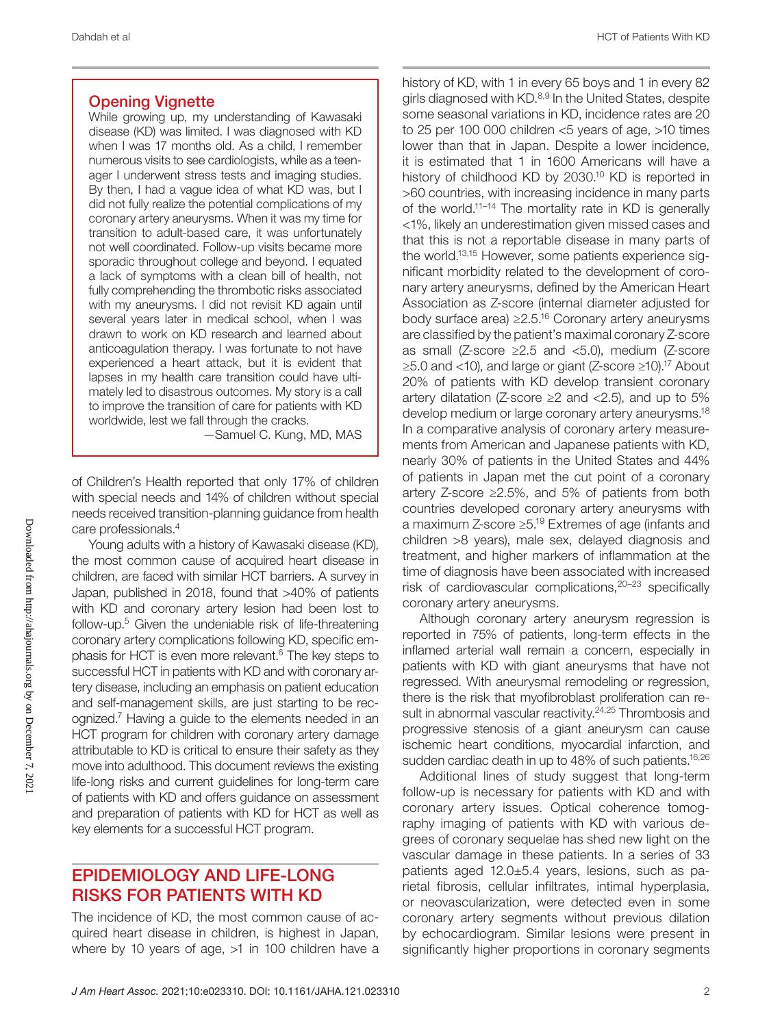### Opening Vignette

While growing up, my understanding of Kawasaki disease (KD) was limited. I was diagnosed with KD when I was 17 months old. As a child, I remember numerous visits to see cardiologists, while as a teenager I underwent stress tests and imaging studies. By then, I had a vague idea of what KD was, but I did not fully realize the potential complications of my coronary artery aneurysms. When it was my time for transition to adult-based care, it was unfortunately not well coordinated. Follow-up visits became more sporadic throughout college and beyond. I equated a lack of symptoms with a clean bill of health, not fully comprehending the thrombotic risks associated with my aneurysms. I did not revisit KD again until several years later in medical school, when I was drawn to work on KD research and learned about anticoagulation therapy. I was fortunate to not have experienced a heart attack, but it is evident that lapses in my health care transition could have ultimately led to disastrous outcomes. My story is a call to improve the transition of care for patients with KD worldwide, lest we fall through the cracks.

—Samuel C. Kung, MD, MAS

of Children's Health reported that only 17% of children with special needs and 14% of children without special needs received transition-planning guidance from health care professionals.4

Young adults with a history of Kawasaki disease (KD), the most common cause of acquired heart disease in children, are faced with similar HCT barriers. A survey in Japan, published in 2018, found that >40% of patients with KD and coronary artery lesion had been lost to follow-up.<sup>5</sup> Given the undeniable risk of life-threatening coronary artery complications following KD, specific emphasis for HCT is even more relevant.6 The key steps to successful HCT in patients with KD and with coronary artery disease, including an emphasis on patient education and self-management skills, are just starting to be recognized.<sup>7</sup> Having a guide to the elements needed in an HCT program for children with coronary artery damage attributable to KD is critical to ensure their safety as they move into adulthood. This document reviews the existing life-long risks and current guidelines for long-term care of patients with KD and offers guidance on assessment and preparation of patients with KD for HCT as well as key elements for a successful HCT program.

### EPIDEMIOLOGY AND LIFE-LONG RISKS FOR PATIENTS WITH KD

The incidence of KD, the most common cause of acquired heart disease in children, is highest in Japan, where by 10 years of age, >1 in 100 children have a

history of KD, with 1 in every 65 boys and 1 in every 82 girls diagnosed with KD.<sup>8,9</sup> In the United States, despite some seasonal variations in KD, incidence rates are 20 to 25 per 100 000 children  $<$ 5 years of age,  $>$ 10 times lower than that in Japan. Despite a lower incidence, it is estimated that 1 in 1600 Americans will have a history of childhood KD by 2030.<sup>10</sup> KD is reported in >60 countries, with increasing incidence in many parts of the world.<sup>11–14</sup> The mortality rate in KD is generally <1%, likely an underestimation given missed cases and that this is not a reportable disease in many parts of the world.13,15 However, some patients experience significant morbidity related to the development of coronary artery aneurysms, defined by the American Heart Association as Z-score (internal diameter adjusted for body surface area) ≥2.5.16 Coronary artery aneurysms are classified by the patient's maximal coronary Z-score as small (Z-score ≥2.5 and <5.0), medium (Z-score  $\geq$ 5.0 and <10), and large or giant (Z-score  $\geq$ 10).<sup>17</sup> About 20% of patients with KD develop transient coronary artery dilatation (Z-score  $\geq$  2 and < 2.5), and up to 5% develop medium or large coronary artery aneurysms.18 In a comparative analysis of coronary artery measurements from American and Japanese patients with KD, nearly 30% of patients in the United States and 44% of patients in Japan met the cut point of a coronary artery Z-score ≥2.5%, and 5% of patients from both countries developed coronary artery aneurysms with a maximum Z-score ≥5.19 Extremes of age (infants and children >8 years), male sex, delayed diagnosis and treatment, and higher markers of inflammation at the time of diagnosis have been associated with increased risk of cardiovascular complications,20–23 specifically coronary artery aneurysms.

Although coronary artery aneurysm regression is reported in 75% of patients, long-term effects in the inflamed arterial wall remain a concern, especially in patients with KD with giant aneurysms that have not regressed. With aneurysmal remodeling or regression, there is the risk that myofibroblast proliferation can result in abnormal vascular reactivity.<sup>24,25</sup> Thrombosis and progressive stenosis of a giant aneurysm can cause ischemic heart conditions, myocardial infarction, and sudden cardiac death in up to 48% of such patients.<sup>16,26</sup>

Additional lines of study suggest that long-term follow-up is necessary for patients with KD and with coronary artery issues. Optical coherence tomography imaging of patients with KD with various degrees of coronary sequelae has shed new light on the vascular damage in these patients. In a series of 33 patients aged 12.0±5.4 years, lesions, such as parietal fibrosis, cellular infiltrates, intimal hyperplasia, or neovascularization, were detected even in some coronary artery segments without previous dilation by echocardiogram. Similar lesions were present in significantly higher proportions in coronary segments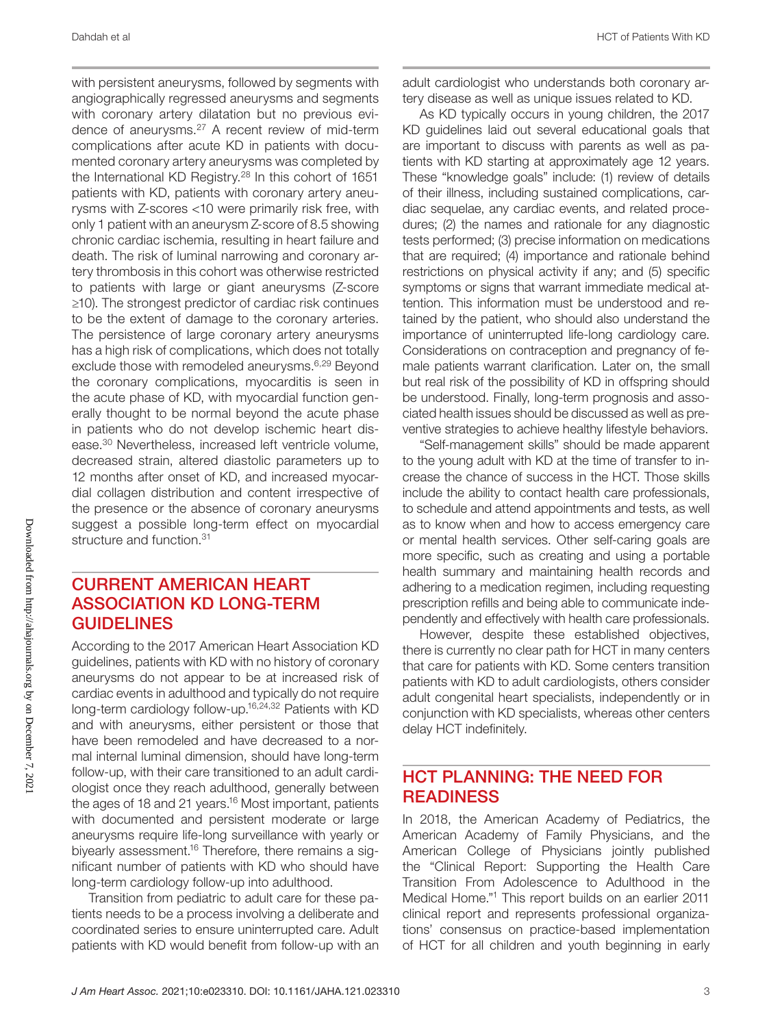with persistent aneurysms, followed by segments with angiographically regressed aneurysms and segments with coronary artery dilatation but no previous evidence of aneurysms.27 A recent review of mid-term complications after acute KD in patients with documented coronary artery aneurysms was completed by the International KD Registry.28 In this cohort of 1651 patients with KD, patients with coronary artery aneurysms with Z-scores <10 were primarily risk free, with only 1 patient with an aneurysm Z-score of 8.5 showing chronic cardiac ischemia, resulting in heart failure and death. The risk of luminal narrowing and coronary artery thrombosis in this cohort was otherwise restricted to patients with large or giant aneurysms (Z-score ≥10). The strongest predictor of cardiac risk continues to be the extent of damage to the coronary arteries. The persistence of large coronary artery aneurysms has a high risk of complications, which does not totally exclude those with remodeled aneurysms.6,29 Beyond the coronary complications, myocarditis is seen in the acute phase of KD, with myocardial function generally thought to be normal beyond the acute phase in patients who do not develop ischemic heart disease.30 Nevertheless, increased left ventricle volume, decreased strain, altered diastolic parameters up to 12 months after onset of KD, and increased myocardial collagen distribution and content irrespective of the presence or the absence of coronary aneurysms suggest a possible long-term effect on myocardial structure and function.<sup>31</sup>

### CURRENT AMERICAN HEART ASSOCIATION KD LONG-TERM **GUIDELINES**

According to the 2017 American Heart Association KD guidelines, patients with KD with no history of coronary aneurysms do not appear to be at increased risk of cardiac events in adulthood and typically do not require long-term cardiology follow-up.<sup>16,24,32</sup> Patients with KD and with aneurysms, either persistent or those that have been remodeled and have decreased to a normal internal luminal dimension, should have long-term follow-up, with their care transitioned to an adult cardiologist once they reach adulthood, generally between the ages of 18 and 21 years.<sup>16</sup> Most important, patients with documented and persistent moderate or large aneurysms require life-long surveillance with yearly or biyearly assessment.<sup>16</sup> Therefore, there remains a significant number of patients with KD who should have long-term cardiology follow-up into adulthood.

Transition from pediatric to adult care for these patients needs to be a process involving a deliberate and coordinated series to ensure uninterrupted care. Adult patients with KD would benefit from follow-up with an adult cardiologist who understands both coronary artery disease as well as unique issues related to KD.

As KD typically occurs in young children, the 2017 KD guidelines laid out several educational goals that are important to discuss with parents as well as patients with KD starting at approximately age 12 years. These "knowledge goals" include: (1) review of details of their illness, including sustained complications, cardiac sequelae, any cardiac events, and related procedures; (2) the names and rationale for any diagnostic tests performed; (3) precise information on medications that are required; (4) importance and rationale behind restrictions on physical activity if any; and (5) specific symptoms or signs that warrant immediate medical attention. This information must be understood and retained by the patient, who should also understand the importance of uninterrupted life-long cardiology care. Considerations on contraception and pregnancy of female patients warrant clarification. Later on, the small but real risk of the possibility of KD in offspring should be understood. Finally, long-term prognosis and associated health issues should be discussed as well as preventive strategies to achieve healthy lifestyle behaviors.

"Self-management skills" should be made apparent to the young adult with KD at the time of transfer to increase the chance of success in the HCT. Those skills include the ability to contact health care professionals, to schedule and attend appointments and tests, as well as to know when and how to access emergency care or mental health services. Other self-caring goals are more specific, such as creating and using a portable health summary and maintaining health records and adhering to a medication regimen, including requesting prescription refills and being able to communicate independently and effectively with health care professionals.

However, despite these established objectives, there is currently no clear path for HCT in many centers that care for patients with KD. Some centers transition patients with KD to adult cardiologists, others consider adult congenital heart specialists, independently or in conjunction with KD specialists, whereas other centers delay HCT indefinitely.

### HCT PLANNING: THE NEED FOR **READINESS**

In 2018, the American Academy of Pediatrics, the American Academy of Family Physicians, and the American College of Physicians jointly published the "Clinical Report: Supporting the Health Care Transition From Adolescence to Adulthood in the Medical Home."1 This report builds on an earlier 2011 clinical report and represents professional organizations' consensus on practice-based implementation of HCT for all children and youth beginning in early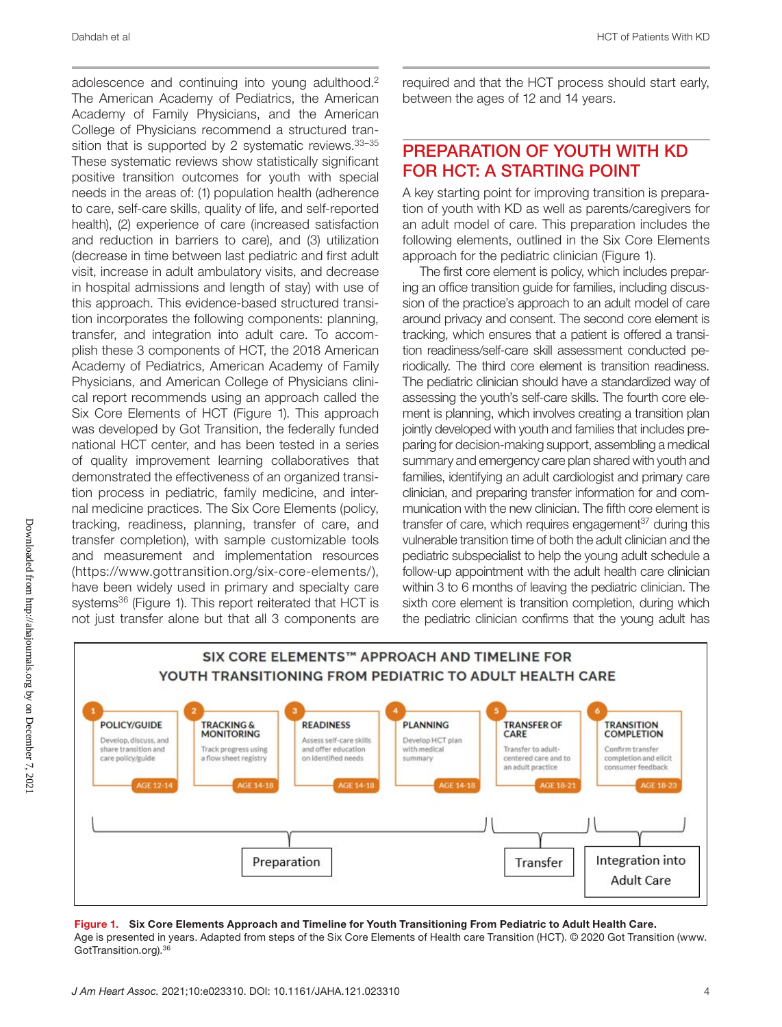adolescence and continuing into young adulthood.2 The American Academy of Pediatrics, the American Academy of Family Physicians, and the American College of Physicians recommend a structured transition that is supported by 2 systematic reviews. 33-35 These systematic reviews show statistically significant positive transition outcomes for youth with special needs in the areas of: (1) population health (adherence to care, self-care skills, quality of life, and self-reported health), (2) experience of care (increased satisfaction and reduction in barriers to care), and (3) utilization (decrease in time between last pediatric and first adult visit, increase in adult ambulatory visits, and decrease in hospital admissions and length of stay) with use of this approach. This evidence-based structured transition incorporates the following components: planning, transfer, and integration into adult care. To accomplish these 3 components of HCT, the 2018 American Academy of Pediatrics, American Academy of Family Physicians, and American College of Physicians clinical report recommends using an approach called the Six Core Elements of HCT (Figure 1). This approach was developed by Got Transition, the federally funded national HCT center, and has been tested in a series of quality improvement learning collaboratives that demonstrated the effectiveness of an organized transition process in pediatric, family medicine, and internal medicine practices. The Six Core Elements (policy, tracking, readiness, planning, transfer of care, and transfer completion), with sample customizable tools and measurement and implementation resources [\(https://www.gottransition.org/six-core-elements/\)](https://www.gottransition.org/six-core-elements/), have been widely used in primary and specialty care systems<sup>36</sup> (Figure 1). This report reiterated that HCT is not just transfer alone but that all 3 components are required and that the HCT process should start early, between the ages of 12 and 14 years.

### PREPARATION OF YOUTH WITH KD FOR HCT: A STARTING POINT

A key starting point for improving transition is preparation of youth with KD as well as parents/caregivers for an adult model of care. This preparation includes the following elements, outlined in the Six Core Elements approach for the pediatric clinician (Figure 1).

The first core element is policy, which includes preparing an office transition guide for families, including discussion of the practice's approach to an adult model of care around privacy and consent. The second core element is tracking, which ensures that a patient is offered a transition readiness/self-care skill assessment conducted periodically. The third core element is transition readiness. The pediatric clinician should have a standardized way of assessing the youth's self-care skills. The fourth core element is planning, which involves creating a transition plan jointly developed with youth and families that includes preparing for decision-making support, assembling a medical summary and emergency care plan shared with youth and families, identifying an adult cardiologist and primary care clinician, and preparing transfer information for and communication with the new clinician. The fifth core element is transfer of care, which requires engagement<sup>37</sup> during this vulnerable transition time of both the adult clinician and the pediatric subspecialist to help the young adult schedule a follow-up appointment with the adult health care clinician within 3 to 6 months of leaving the pediatric clinician. The sixth core element is transition completion, during which the pediatric clinician confirms that the young adult has



Figure 1. Six Core Elements Approach and Timeline for Youth Transitioning From Pediatric to Adult Health Care. Age is presented in years. Adapted from steps of the Six Core Elements of Health care Transition (HCT). © 2020 Got Transition ([www.](http://www.GotTransition.org) [GotTransition.org\)](http://www.GotTransition.org).36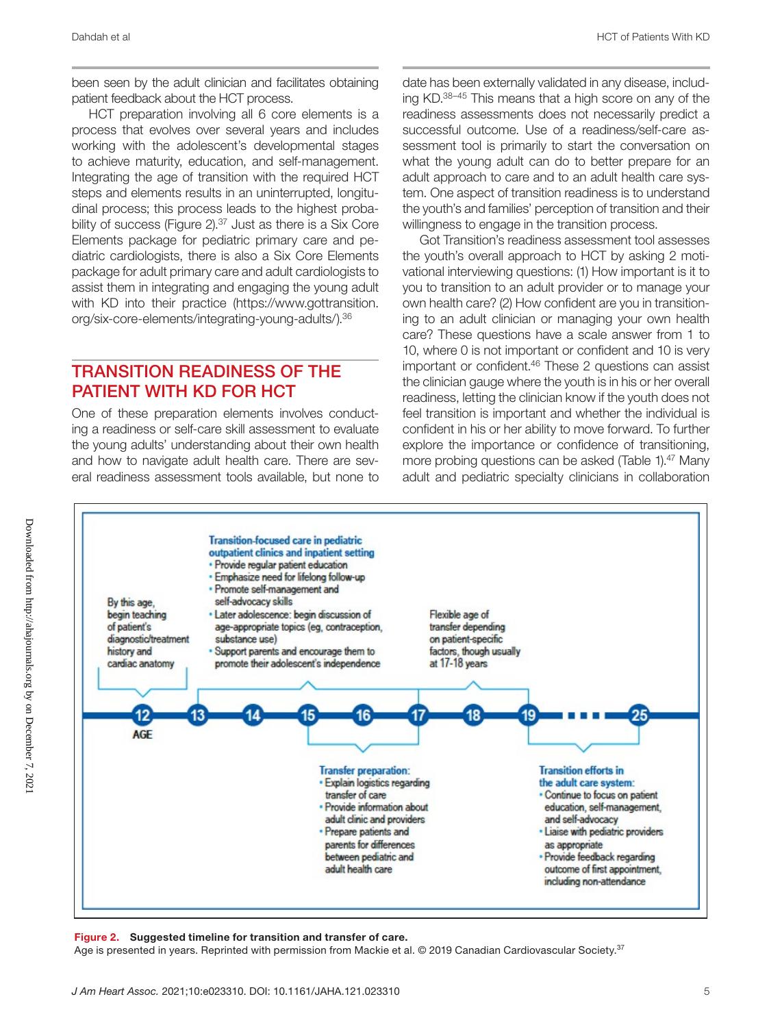been seen by the adult clinician and facilitates obtaining patient feedback about the HCT process.

HCT preparation involving all 6 core elements is a process that evolves over several years and includes working with the adolescent's developmental stages to achieve maturity, education, and self-management. Integrating the age of transition with the required HCT steps and elements results in an uninterrupted, longitudinal process; this process leads to the highest probability of success (Figure 2).<sup>37</sup> Just as there is a Six Core Elements package for pediatric primary care and pediatric cardiologists, there is also a Six Core Elements package for adult primary care and adult cardiologists to assist them in integrating and engaging the young adult with KD into their practice ([https://www.gottransition.](https://www.gottransition.org/six-core-elements/integrating-young-adults/) [org/six-core-elements/integrating-young-adults/](https://www.gottransition.org/six-core-elements/integrating-young-adults/)).36

### TRANSITION READINESS OF THE PATIENT WITH KD FOR HCT

One of these preparation elements involves conducting a readiness or self-care skill assessment to evaluate the young adults' understanding about their own health and how to navigate adult health care. There are several readiness assessment tools available, but none to

date has been externally validated in any disease, including KD.38–45 This means that a high score on any of the readiness assessments does not necessarily predict a successful outcome. Use of a readiness/self-care assessment tool is primarily to start the conversation on what the young adult can do to better prepare for an adult approach to care and to an adult health care system. One aspect of transition readiness is to understand the youth's and families' perception of transition and their willingness to engage in the transition process.

Got Transition's readiness assessment tool assesses the youth's overall approach to HCT by asking 2 motivational interviewing questions: (1) How important is it to you to transition to an adult provider or to manage your own health care? (2) How confident are you in transitioning to an adult clinician or managing your own health care? These questions have a scale answer from 1 to 10, where 0 is not important or confident and 10 is very important or confident.<sup>46</sup> These 2 questions can assist the clinician gauge where the youth is in his or her overall readiness, letting the clinician know if the youth does not feel transition is important and whether the individual is confident in his or her ability to move forward. To further explore the importance or confidence of transitioning, more probing questions can be asked (Table 1).<sup>47</sup> Many adult and pediatric specialty clinicians in collaboration



#### Figure 2. Suggested timeline for transition and transfer of care.

Age is presented in years. Reprinted with permission from Mackie et al. © 2019 Canadian Cardiovascular Society.<sup>37</sup>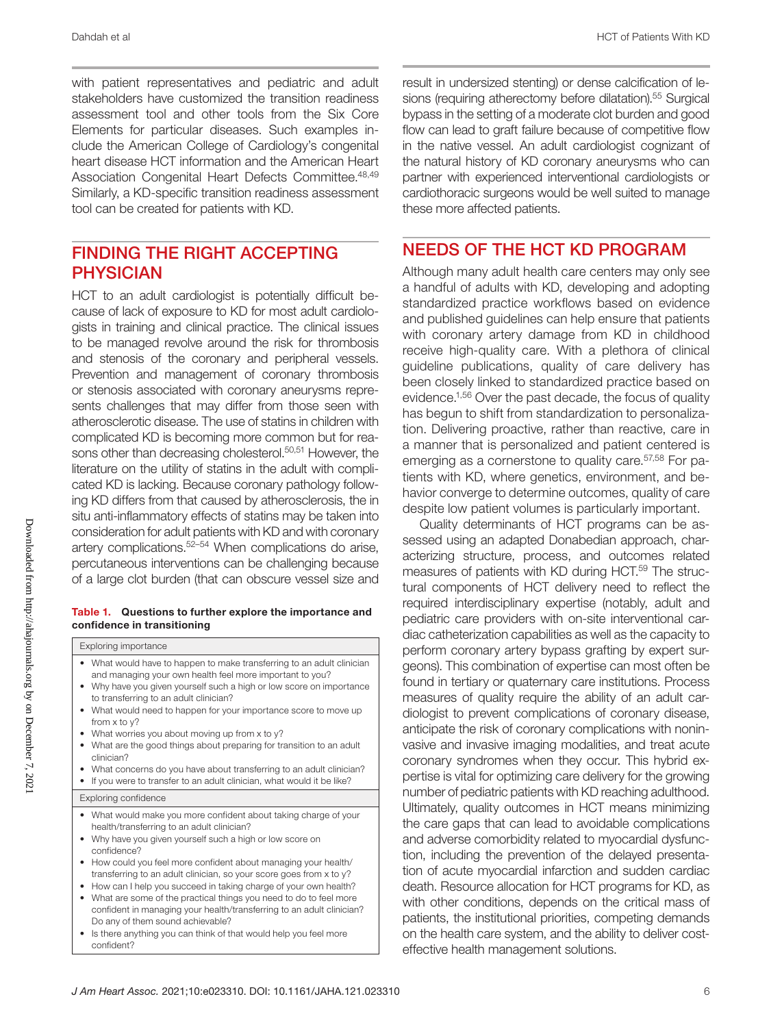with patient representatives and pediatric and adult stakeholders have customized the transition readiness assessment tool and other tools from the Six Core Elements for particular diseases. Such examples include the American College of Cardiology's congenital heart disease HCT information and the American Heart Association Congenital Heart Defects Committee.<sup>48,49</sup> Similarly, a KD-specific transition readiness assessment tool can be created for patients with KD.

### FINDING THE RIGHT ACCEPTING PHYSICIAN

HCT to an adult cardiologist is potentially difficult because of lack of exposure to KD for most adult cardiologists in training and clinical practice. The clinical issues to be managed revolve around the risk for thrombosis and stenosis of the coronary and peripheral vessels. Prevention and management of coronary thrombosis or stenosis associated with coronary aneurysms represents challenges that may differ from those seen with atherosclerotic disease. The use of statins in children with complicated KD is becoming more common but for reasons other than decreasing cholesterol.<sup>50,51</sup> However, the literature on the utility of statins in the adult with complicated KD is lacking. Because coronary pathology following KD differs from that caused by atherosclerosis, the in situ anti-inflammatory effects of statins may be taken into consideration for adult patients with KD and with coronary artery complications.52–54 When complications do arise, percutaneous interventions can be challenging because of a large clot burden (that can obscure vessel size and

#### Table 1. Questions to further explore the importance and confidence in transitioning

Exploring importance

- What would have to happen to make transferring to an adult clinician and managing your own health feel more important to you?
- Why have you given yourself such a high or low score on importance to transferring to an adult clinician?
- What would need to happen for your importance score to move up from x to y?
- What worries you about moving up from x to y?
- What are the good things about preparing for transition to an adult clinician?
- What concerns do you have about transferring to an adult clinician?
- If you were to transfer to an adult clinician, what would it be like?

Exploring confidence

- What would make you more confident about taking charge of your health/transferring to an adult clinician?
- Why have you given yourself such a high or low score on confidence?
- How could you feel more confident about managing your health/ transferring to an adult clinician, so your score goes from x to y?
- How can I help you succeed in taking charge of your own health? • What are some of the practical things you need to do to feel more
- confident in managing your health/transferring to an adult clinician? Do any of them sound achievable?
- Is there anything you can think of that would help you feel more confident?

result in undersized stenting) or dense calcification of lesions (requiring atherectomy before dilatation).<sup>55</sup> Surgical bypass in the setting of a moderate clot burden and good flow can lead to graft failure because of competitive flow in the native vessel. An adult cardiologist cognizant of the natural history of KD coronary aneurysms who can partner with experienced interventional cardiologists or cardiothoracic surgeons would be well suited to manage these more affected patients.

### NEEDS OF THE HCT KD PROGRAM

Although many adult health care centers may only see a handful of adults with KD, developing and adopting standardized practice workflows based on evidence and published guidelines can help ensure that patients with coronary artery damage from KD in childhood receive high-quality care. With a plethora of clinical guideline publications, quality of care delivery has been closely linked to standardized practice based on evidence.1,56 Over the past decade, the focus of quality has begun to shift from standardization to personalization. Delivering proactive, rather than reactive, care in a manner that is personalized and patient centered is emerging as a cornerstone to quality care.<sup>57,58</sup> For patients with KD, where genetics, environment, and behavior converge to determine outcomes, quality of care despite low patient volumes is particularly important.

Quality determinants of HCT programs can be assessed using an adapted Donabedian approach, characterizing structure, process, and outcomes related measures of patients with KD during HCT.59 The structural components of HCT delivery need to reflect the required interdisciplinary expertise (notably, adult and pediatric care providers with on-site interventional cardiac catheterization capabilities as well as the capacity to perform coronary artery bypass grafting by expert surgeons). This combination of expertise can most often be found in tertiary or quaternary care institutions. Process measures of quality require the ability of an adult cardiologist to prevent complications of coronary disease, anticipate the risk of coronary complications with noninvasive and invasive imaging modalities, and treat acute coronary syndromes when they occur. This hybrid expertise is vital for optimizing care delivery for the growing number of pediatric patients with KD reaching adulthood. Ultimately, quality outcomes in HCT means minimizing the care gaps that can lead to avoidable complications and adverse comorbidity related to myocardial dysfunction, including the prevention of the delayed presentation of acute myocardial infarction and sudden cardiac death. Resource allocation for HCT programs for KD, as with other conditions, depends on the critical mass of patients, the institutional priorities, competing demands on the health care system, and the ability to deliver costeffective health management solutions.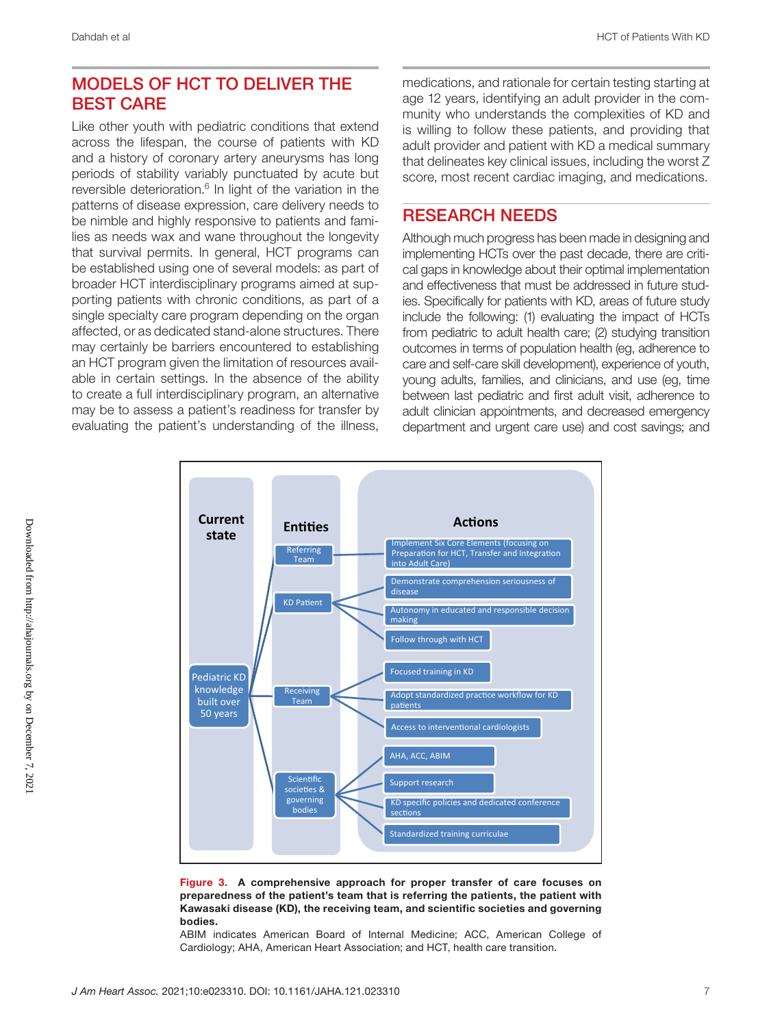### MODELS OF HCT TO DELIVER THE BEST CARE

Like other youth with pediatric conditions that extend across the lifespan, the course of patients with KD and a history of coronary artery aneurysms has long periods of stability variably punctuated by acute but reversible deterioration.<sup>6</sup> In light of the variation in the patterns of disease expression, care delivery needs to be nimble and highly responsive to patients and families as needs wax and wane throughout the longevity that survival permits. In general, HCT programs can be established using one of several models: as part of broader HCT interdisciplinary programs aimed at supporting patients with chronic conditions, as part of a single specialty care program depending on the organ affected, or as dedicated stand-alone structures. There may certainly be barriers encountered to establishing an HCT program given the limitation of resources available in certain settings. In the absence of the ability to create a full interdisciplinary program, an alternative may be to assess a patient's readiness for transfer by evaluating the patient's understanding of the illness, medications, and rationale for certain testing starting at age 12 years, identifying an adult provider in the community who understands the complexities of KD and is willing to follow these patients, and providing that adult provider and patient with KD a medical summary that delineates key clinical issues, including the worst Z score, most recent cardiac imaging, and medications.

### RESEARCH NEEDS

Although much progress has been made in designing and implementing HCTs over the past decade, there are critical gaps in knowledge about their optimal implementation and effectiveness that must be addressed in future studies. Specifically for patients with KD, areas of future study include the following: (1) evaluating the impact of HCTs from pediatric to adult health care; (2) studying transition outcomes in terms of population health (eg, adherence to care and self-care skill development), experience of youth, young adults, families, and clinicians, and use (eg, time between last pediatric and first adult visit, adherence to adult clinician appointments, and decreased emergency department and urgent care use) and cost savings; and



Figure 3. A comprehensive approach for proper transfer of care focuses on preparedness of the patient's team that is referring the patients, the patient with Kawasaki disease (KD), the receiving team, and scientific societies and governing bodies.

ABIM indicates American Board of Internal Medicine; ACC, American College of Cardiology; AHA, American Heart Association; and HCT, health care transition.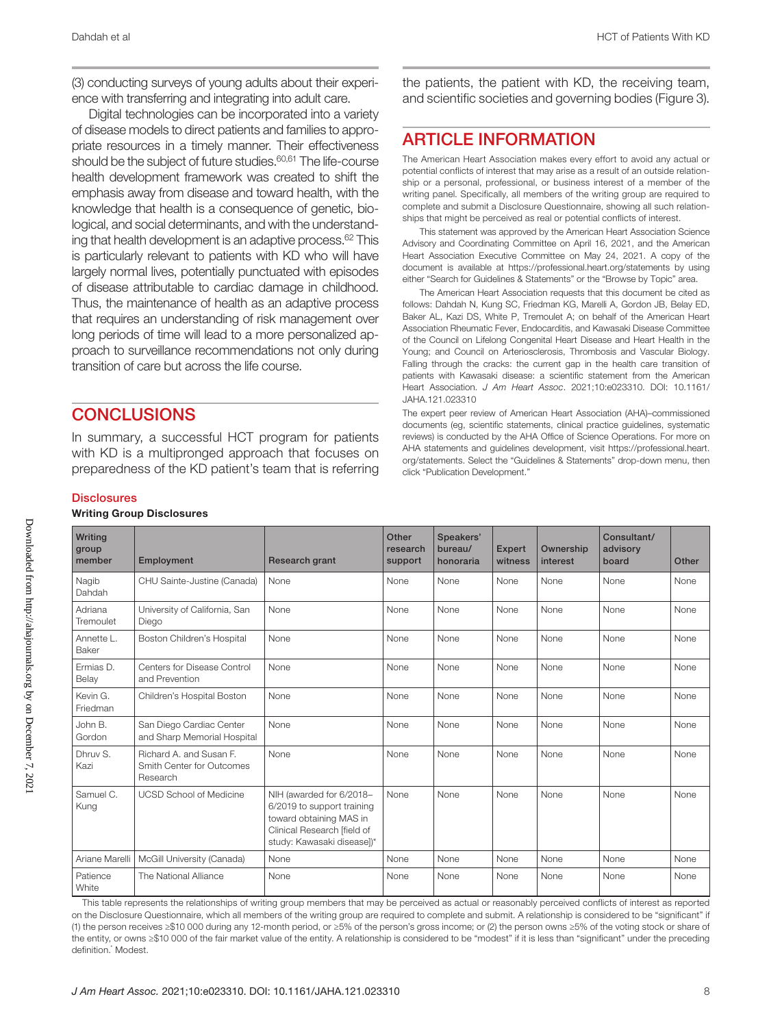(3) conducting surveys of young adults about their experience with transferring and integrating into adult care.

Digital technologies can be incorporated into a variety of disease models to direct patients and families to appropriate resources in a timely manner. Their effectiveness should be the subject of future studies.<sup>60,61</sup> The life-course health development framework was created to shift the emphasis away from disease and toward health, with the knowledge that health is a consequence of genetic, biological, and social determinants, and with the understanding that health development is an adaptive process. $62$  This is particularly relevant to patients with KD who will have largely normal lives, potentially punctuated with episodes of disease attributable to cardiac damage in childhood. Thus, the maintenance of health as an adaptive process that requires an understanding of risk management over long periods of time will lead to a more personalized approach to surveillance recommendations not only during transition of care but across the life course.

### **CONCLUSIONS**

In summary, a successful HCT program for patients with KD is a multipronged approach that focuses on preparedness of the KD patient's team that is referring the patients, the patient with KD, the receiving team, and scientific societies and governing bodies (Figure 3).

### ARTICLE INFORMATION

The American Heart Association makes every effort to avoid any actual or potential conflicts of interest that may arise as a result of an outside relationship or a personal, professional, or business interest of a member of the writing panel. Specifically, all members of the writing group are required to complete and submit a Disclosure Questionnaire, showing all such relationships that might be perceived as real or potential conflicts of interest.

This statement was approved by the American Heart Association Science Advisory and Coordinating Committee on April 16, 2021, and the American Heart Association Executive Committee on May 24, 2021. A copy of the document is available at <https://professional.heart.org/statements> by using either "Search for Guidelines & Statements" or the "Browse by Topic" area.

The American Heart Association requests that this document be cited as follows: Dahdah N, Kung SC, Friedman KG, Marelli A, Gordon JB, Belay ED, Baker AL, Kazi DS, White P, Tremoulet A; on behalf of the American Heart Association Rheumatic Fever, Endocarditis, and Kawasaki Disease Committee of the Council on Lifelong Congenital Heart Disease and Heart Health in the Young; and Council on Arteriosclerosis, Thrombosis and Vascular Biology. Falling through the cracks: the current gap in the health care transition of patients with Kawasaki disease: a scientific statement from the American Heart Association. *J Am Heart Assoc*. 2021;10:e023310. DOI: [10.1161/](https://doi.org/10.1161/JAHA.121.023310) [JAHA.121.023310](https://doi.org/10.1161/JAHA.121.023310)

The expert peer review of American Heart Association (AHA)–commissioned documents (eg, scientific statements, clinical practice guidelines, systematic reviews) is conducted by the AHA Office of Science Operations. For more on AHA statements and guidelines development, visit [https://professional.heart.](https://professional.heart.org/statements) [org/statements](https://professional.heart.org/statements). Select the "Guidelines & Statements" drop-down menu, then click "Publication Development."

#### **Disclosures**

| Writing Group Disclosures |  |
|---------------------------|--|
|---------------------------|--|

| Writing<br>group<br>member | Employment                                                       | <b>Research grant</b>                                                                                                                          | Other<br>research<br>support | Speakers'<br>bureau/<br>honoraria | <b>Expert</b><br>witness | Ownership<br>interest | Consultant/<br>advisory<br>board | Other |  |
|----------------------------|------------------------------------------------------------------|------------------------------------------------------------------------------------------------------------------------------------------------|------------------------------|-----------------------------------|--------------------------|-----------------------|----------------------------------|-------|--|
| Nagib<br>Dahdah            | CHU Sainte-Justine (Canada)                                      | None                                                                                                                                           | None                         | None                              | None                     | None                  | None                             | None  |  |
| Adriana<br>Tremoulet       | University of California, San<br>Diego                           | None                                                                                                                                           | None                         | None                              | None                     | None                  | None                             | None  |  |
| Annette L.<br>Baker        | Boston Children's Hospital                                       | None                                                                                                                                           | None                         | None                              | None                     | None                  | None                             | None  |  |
| Ermias D.<br>Belay         | Centers for Disease Control<br>and Prevention                    | None                                                                                                                                           | None                         | None                              | None                     | None                  | None                             | None  |  |
| Kevin G.<br>Friedman       | Children's Hospital Boston                                       | None                                                                                                                                           | None                         | None                              | None                     | None                  | None                             | None  |  |
| John B.<br>Gordon          | San Diego Cardiac Center<br>and Sharp Memorial Hospital          | None                                                                                                                                           | None                         | None                              | None                     | None                  | None                             | None  |  |
| Dhruy S.<br>Kazi           | Richard A. and Susan F.<br>Smith Center for Outcomes<br>Research | None                                                                                                                                           | None                         | None                              | None                     | None                  | None                             | None  |  |
| Samuel C.<br>Kung          | <b>UCSD School of Medicine</b>                                   | NIH (awarded for 6/2018-<br>6/2019 to support training<br>toward obtaining MAS in<br>Clinical Research [field of<br>study: Kawasaki disease])* | None                         | None                              | None                     | None                  | None                             | None  |  |
| Ariane Marelli             | McGill University (Canada)                                       | None                                                                                                                                           | None                         | None                              | None                     | None                  | None                             | None  |  |
| Patience<br>White          | The National Alliance                                            | None                                                                                                                                           | None                         | None                              | None                     | None                  | None                             | None  |  |

This table represents the relationships of writing group members that may be perceived as actual or reasonably perceived conflicts of interest as reported on the Disclosure Questionnaire, which all members of the writing group are required to complete and submit. A relationship is considered to be "significant" if (1) the person receives ≥\$10 000 during any 12-month period, or ≥5% of the person's gross income; or (2) the person owns ≥5% of the voting stock or share of the entity, or owns ≥\$10 000 of the fair market value of the entity. A relationship is considered to be "modest" if it is less than "significant" under the preceding definition.<sup>\*</sup> Modest.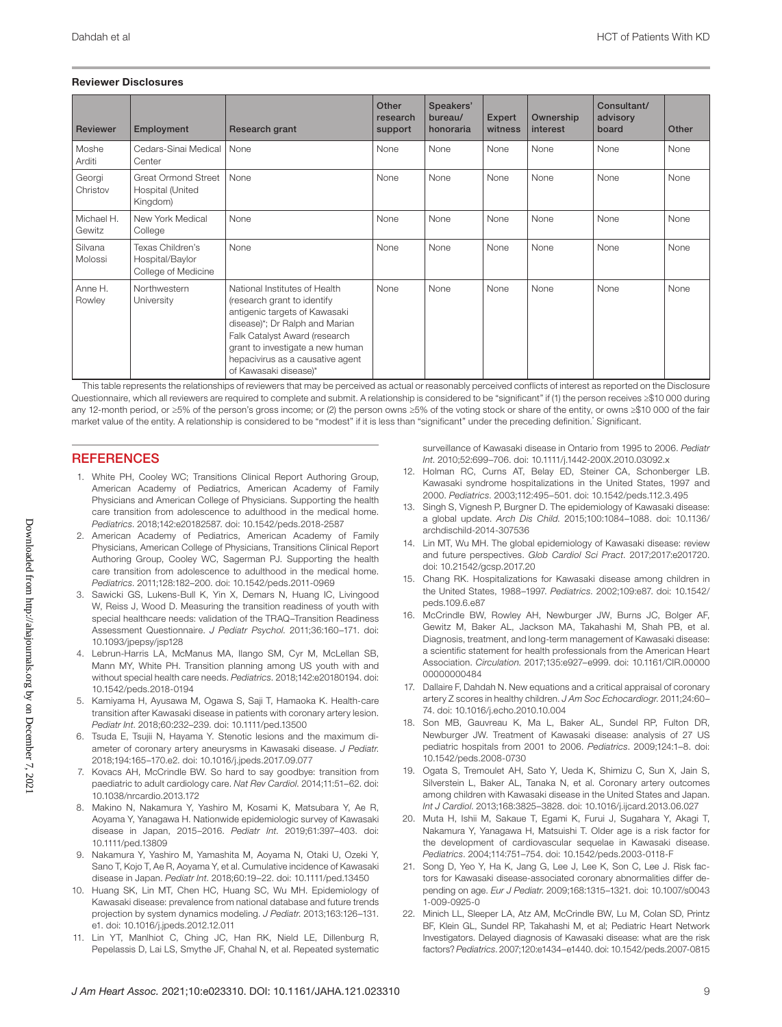#### Reviewer Disclosures

| <b>Reviewer</b>      | Employment                                                 | Research grant                                                                                                                                                                                                                                                    | Other<br>research<br>support | Speakers'<br>bureau/<br>honoraria | <b>Expert</b><br>witness | Ownership<br>interest | Consultant/<br>advisory<br>board | Other |
|----------------------|------------------------------------------------------------|-------------------------------------------------------------------------------------------------------------------------------------------------------------------------------------------------------------------------------------------------------------------|------------------------------|-----------------------------------|--------------------------|-----------------------|----------------------------------|-------|
| Moshe<br>Arditi      | Cedars-Sinai Medical<br>Center                             | None                                                                                                                                                                                                                                                              | None                         | None                              | None                     | None                  | None                             | None  |
| Georgi<br>Christov   | Great Ormond Street<br>Hospital (United<br>Kingdom)        | None                                                                                                                                                                                                                                                              | None                         | None                              | None                     | None                  | None                             | None  |
| Michael H.<br>Gewitz | New York Medical<br>College                                | None                                                                                                                                                                                                                                                              | None                         | None                              | None                     | None                  | None                             | None  |
| Silvana<br>Molossi   | Texas Children's<br>Hospital/Baylor<br>College of Medicine | None                                                                                                                                                                                                                                                              | None                         | None                              | None                     | None                  | None                             | None  |
| Anne H.<br>Rowley    | Northwestern<br>University                                 | National Institutes of Health<br>(research grant to identify<br>antigenic targets of Kawasaki<br>disease)*; Dr Ralph and Marian<br>Falk Catalyst Award (research<br>grant to investigate a new human<br>hepacivirus as a causative agent<br>of Kawasaki disease)* | None                         | None                              | None                     | None                  | None                             | None  |

This table represents the relationships of reviewers that may be perceived as actual or reasonably perceived conflicts of interest as reported on the Disclosure Questionnaire, which all reviewers are required to complete and submit. A relationship is considered to be "significant" if (1) the person receives ≥\$10 000 during any 12-month period, or ≥5% of the person's gross income; or (2) the person owns ≥5% of the voting stock or share of the entity, or owns ≥\$10 000 of the fair market value of the entity. A relationship is considered to be "modest" if it is less than "significant" under the preceding definition.\* Significant.

### **REFERENCES**

- 1. White PH, Cooley WC; Transitions Clinical Report Authoring Group, American Academy of Pediatrics, American Academy of Family Physicians and American College of Physicians. Supporting the health care transition from adolescence to adulthood in the medical home. *Pediatrics*. 2018;142:e20182587. doi: [10.1542/peds.2018-2587](https://doi.org/10.1542/peds.2018-2587)
- 2. American Academy of Pediatrics, American Academy of Family Physicians, American College of Physicians, Transitions Clinical Report Authoring Group, Cooley WC, Sagerman PJ. Supporting the health care transition from adolescence to adulthood in the medical home. *Pediatrics*. 2011;128:182–200. doi: [10.1542/peds.2011-0969](https://doi.org/10.1542/peds.2011-0969)
- 3. Sawicki GS, Lukens-Bull K, Yin X, Demars N, Huang IC, Livingood W, Reiss J, Wood D. Measuring the transition readiness of youth with special healthcare needs: validation of the TRAQ–Transition Readiness Assessment Questionnaire. *J Pediatr Psychol*. 2011;36:160–171. doi: [10.1093/jpepsy/jsp128](https://doi.org/10.1093/jpepsy/jsp128)
- 4. Lebrun-Harris LA, McManus MA, Ilango SM, Cyr M, McLellan SB, Mann MY, White PH. Transition planning among US youth with and without special health care needs. *Pediatrics*. 2018;142:e20180194. doi: [10.1542/peds.2018-0194](https://doi.org/10.1542/peds.2018-0194)
- 5. Kamiyama H, Ayusawa M, Ogawa S, Saji T, Hamaoka K. Health-care transition after Kawasaki disease in patients with coronary artery lesion. *Pediatr Int*. 2018;60:232–239. doi: [10.1111/ped.13500](https://doi.org/10.1111/ped.13500)
- 6. Tsuda E, Tsujii N, Hayama Y. Stenotic lesions and the maximum diameter of coronary artery aneurysms in Kawasaki disease. *J Pediatr*. 2018;194:165–170.e2. doi: [10.1016/j.jpeds.2017.09.077](https://doi.org/10.1016/j.jpeds.2017.09.077)
- 7. Kovacs AH, McCrindle BW. So hard to say goodbye: transition from paediatric to adult cardiology care. *Nat Rev Cardiol*. 2014;11:51–62. doi: [10.1038/nrcardio.2013.172](https://doi.org/10.1038/nrcardio.2013.172)
- 8. Makino N, Nakamura Y, Yashiro M, Kosami K, Matsubara Y, Ae R, Aoyama Y, Yanagawa H. Nationwide epidemiologic survey of Kawasaki disease in Japan, 2015–2016. *Pediatr Int*. 2019;61:397–403. doi: [10.1111/ped.13809](https://doi.org/10.1111/ped.13809)
- 9. Nakamura Y, Yashiro M, Yamashita M, Aoyama N, Otaki U, Ozeki Y, Sano T, Kojo T, Ae R, Aoyama Y, et al. Cumulative incidence of Kawasaki disease in Japan. *Pediatr Int*. 2018;60:19–22. doi: [10.1111/ped.13450](https://doi.org/10.1111/ped.13450)
- 10. Huang SK, Lin MT, Chen HC, Huang SC, Wu MH. Epidemiology of Kawasaki disease: prevalence from national database and future trends projection by system dynamics modeling. *J Pediatr*. 2013;163:126–131. e1. doi: [10.1016/j.jpeds.2012.12.011](https://doi.org/10.1016/j.jpeds.2012.12.011)
- 11. Lin YT, Manlhiot C, Ching JC, Han RK, Nield LE, Dillenburg R, Pepelassis D, Lai LS, Smythe JF, Chahal N, et al. Repeated systematic

surveillance of Kawasaki disease in Ontario from 1995 to 2006. *Pediatr Int*. 2010;52:699–706. doi: [10.1111/j.1442-200X.2010.03092.x](https://doi.org/10.1111/j.1442-200X.2010.03092.x)

- 12. Holman RC, Curns AT, Belay ED, Steiner CA, Schonberger LB. Kawasaki syndrome hospitalizations in the United States, 1997 and 2000. *Pediatrics*. 2003;112:495–501. doi: [10.1542/peds.112.3.495](https://doi.org/10.1542/peds.112.3.495)
- 13. Singh S, Vignesh P, Burgner D. The epidemiology of Kawasaki disease: a global update. *Arch Dis Child*. 2015;100:1084–1088. doi: [10.1136/](https://doi.org/10.1136/archdischild-2014-307536) [archdischild-2014-307536](https://doi.org/10.1136/archdischild-2014-307536)
- 14. Lin MT, Wu MH. The global epidemiology of Kawasaki disease: review and future perspectives. *Glob Cardiol Sci Pract*. 2017;2017:e201720. doi: [10.21542/gcsp.2017.20](https://doi.org/10.21542/gcsp.2017.20)
- 15. Chang RK. Hospitalizations for Kawasaki disease among children in the United States, 1988–1997. *Pediatrics*. 2002;109:e87. doi: [10.1542/](https://doi.org/10.1542/peds.109.6.e87) [peds.109.6.e87](https://doi.org/10.1542/peds.109.6.e87)
- 16. McCrindle BW, Rowley AH, Newburger JW, Burns JC, Bolger AF, Gewitz M, Baker AL, Jackson MA, Takahashi M, Shah PB, et al. Diagnosis, treatment, and long-term management of Kawasaki disease: a scientific statement for health professionals from the American Heart Association. *Circulation*. 2017;135:e927–e999. doi: [10.1161/CIR.00000](https://doi.org/10.1161/CIR.0000000000000484) [00000000484](https://doi.org/10.1161/CIR.0000000000000484)
- 17. Dallaire F, Dahdah N. New equations and a critical appraisal of coronary artery Z scores in healthy children. *J Am Soc Echocardiogr*. 2011;24:60– 74. doi: [10.1016/j.echo.2010.10.004](https://doi.org/10.1016/j.echo.2010.10.004)
- 18. Son MB, Gauvreau K, Ma L, Baker AL, Sundel RP, Fulton DR, Newburger JW. Treatment of Kawasaki disease: analysis of 27 US pediatric hospitals from 2001 to 2006. *Pediatrics*. 2009;124:1–8. doi: [10.1542/peds.2008-0730](https://doi.org/10.1542/peds.2008-0730)
- 19. Ogata S, Tremoulet AH, Sato Y, Ueda K, Shimizu C, Sun X, Jain S, Silverstein L, Baker AL, Tanaka N, et al. Coronary artery outcomes among children with Kawasaki disease in the United States and Japan. *Int J Cardiol*. 2013;168:3825–3828. doi: [10.1016/j.ijcard.2013.06.027](https://doi.org/10.1016/j.ijcard.2013.06.027)
- 20. Muta H, Ishii M, Sakaue T, Egami K, Furui J, Sugahara Y, Akagi T, Nakamura Y, Yanagawa H, Matsuishi T. Older age is a risk factor for the development of cardiovascular sequelae in Kawasaki disease. *Pediatrics*. 2004;114:751–754. doi: [10.1542/peds.2003-0118-F](https://doi.org/10.1542/peds.2003-0118-F)
- 21. Song D, Yeo Y, Ha K, Jang G, Lee J, Lee K, Son C, Lee J. Risk factors for Kawasaki disease-associated coronary abnormalities differ depending on age. *Eur J Pediatr*. 2009;168:1315–1321. doi: [10.1007/s0043](https://doi.org/10.1007/s00431-009-0925-0) [1-009-0925-0](https://doi.org/10.1007/s00431-009-0925-0)
- 22. Minich LL, Sleeper LA, Atz AM, McCrindle BW, Lu M, Colan SD, Printz BF, Klein GL, Sundel RP, Takahashi M, et al; Pediatric Heart Network Investigators. Delayed diagnosis of Kawasaki disease: what are the risk factors? *Pediatrics*. 2007;120:e1434–e1440. doi: [10.1542/peds.2007-0815](https://doi.org/10.1542/peds.2007-0815)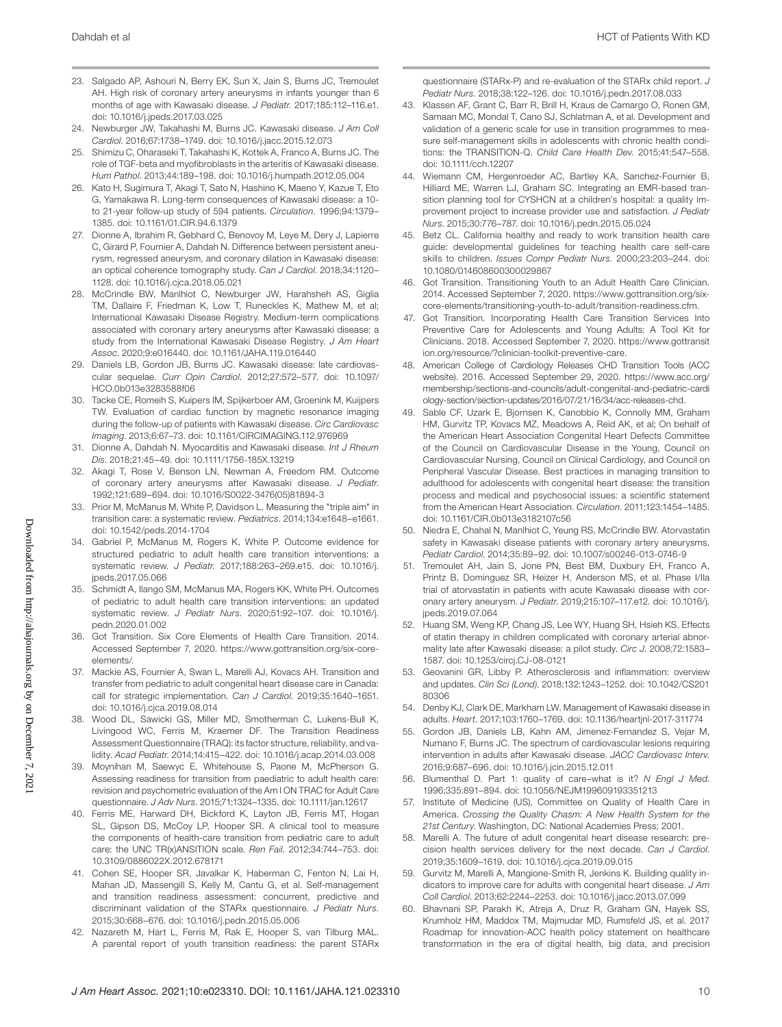- 23. Salgado AP, Ashouri N, Berry EK, Sun X, Jain S, Burns JC, Tremoulet AH. High risk of coronary artery aneurysms in infants younger than 6 months of age with Kawasaki disease. *J Pediatr*. 2017;185:112–116.e1. doi: [10.1016/j.jpeds.2017.03.025](https://doi.org/10.1016/j.jpeds.2017.03.025)
- 24. Newburger JW, Takahashi M, Burns JC. Kawasaki disease. *J Am Coll Cardiol*. 2016;67:1738–1749. doi: [10.1016/j.jacc.2015.12.073](https://doi.org/10.1016/j.jacc.2015.12.073)
- 25. Shimizu C, Oharaseki T, Takahashi K, Kottek A, Franco A, Burns JC. The role of TGF-beta and myofibroblasts in the arteritis of Kawasaki disease. *Hum Pathol*. 2013;44:189–198. doi: [10.1016/j.humpath.2012.05.004](https://doi.org/10.1016/j.humpath.2012.05.004)
- 26. Kato H, Sugimura T, Akagi T, Sato N, Hashino K, Maeno Y, Kazue T, Eto G, Yamakawa R. Long-term consequences of Kawasaki disease: a 10 to 21-year follow-up study of 594 patients. *Circulation*. 1996;94:1379– 1385. doi: [10.1161/01.CIR.94.6.1379](https://doi.org/10.1161/01.CIR.94.6.1379)
- 27. Dionne A, Ibrahim R, Gebhard C, Benovoy M, Leye M, Dery J, Lapierre C, Girard P, Fournier A, Dahdah N. Difference between persistent aneurysm, regressed aneurysm, and coronary dilation in Kawasaki disease: an optical coherence tomography study. *Can J Cardiol*. 2018;34:1120– 1128. doi: [10.1016/j.cjca.2018.05.021](https://doi.org/10.1016/j.cjca.2018.05.021)
- 28. McCrindle BW, Manlhiot C, Newburger JW, Harahsheh AS, Giglia TM, Dallaire F, Friedman K, Low T, Runeckles K, Mathew M, et al; International Kawasaki Disease Registry. Medium-term complications associated with coronary artery aneurysms after Kawasaki disease: a study from the International Kawasaki Disease Registry. *J Am Heart Assoc*. 2020;9:e016440. doi: [10.1161/JAHA.119.016440](https://doi.org/10.1161/JAHA.119.016440)
- 29. Daniels LB, Gordon JB, Burns JC. Kawasaki disease: late cardiovascular sequelae. *Curr Opin Cardiol*. 2012;27:572–577. doi: [10.1097/](https://doi.org/10.1097/HCO.0b013e3283588f06) [HCO.0b013e3283588f06](https://doi.org/10.1097/HCO.0b013e3283588f06)
- 30. Tacke CE, Romeih S, Kuipers IM, Spijkerboer AM, Groenink M, Kuijpers TW. Evaluation of cardiac function by magnetic resonance imaging during the follow-up of patients with Kawasaki disease. *Circ Cardiovasc Imaging*. 2013;6:67–73. doi: [10.1161/CIRCIMAGING.112.976969](https://doi.org/10.1161/CIRCIMAGING.112.976969)
- 31. Dionne A, Dahdah N. Myocarditis and Kawasaki disease. *Int J Rheum Dis*. 2018;21:45–49. doi: [10.1111/1756-185X.13219](https://doi.org/10.1111/1756-185X.13219)
- 32. Akagi T, Rose V, Benson LN, Newman A, Freedom RM. Outcome of coronary artery aneurysms after Kawasaki disease. *J Pediatr*. 1992;121:689–694. doi: [10.1016/S0022-3476\(05\)81894-3](https://doi.org/10.1016/S0022-3476(05)81894-3)
- 33. Prior M, McManus M, White P, Davidson L. Measuring the "triple aim" in transition care: a systematic review. *Pediatrics*. 2014;134:e1648–e1661. doi: [10.1542/peds.2014-1704](https://doi.org/10.1542/peds.2014-1704)
- 34. Gabriel P, McManus M, Rogers K, White P. Outcome evidence for structured pediatric to adult health care transition interventions: a systematic review. *J Pediatr*. 2017;188:263–269.e15. doi: [10.1016/j.](https://doi.org/10.1016/j.jpeds.2017.05.066) ipeds.2017.05.066
- 35. Schmidt A, Ilango SM, McManus MA, Rogers KK, White PH. Outcomes of pediatric to adult health care transition interventions: an updated systematic review. *J Pediatr Nurs*. 2020;51:92–107. doi: [10.1016/j.](https://doi.org/10.1016/j.pedn.2020.01.002) [pedn.2020.01.002](https://doi.org/10.1016/j.pedn.2020.01.002)
- 36. Got Transition. Six Core Elements of Health Care Transition. 2014. Accessed September 7, 2020. [https://www.gottransition.org/six-core](https://www.gottransition.org/six-core-elements/)[elements/](https://www.gottransition.org/six-core-elements/).
- 37. Mackie AS, Fournier A, Swan L, Marelli AJ, Kovacs AH. Transition and transfer from pediatric to adult congenital heart disease care in Canada: call for strategic implementation. *Can J Cardiol*. 2019;35:1640–1651. doi: [10.1016/j.cjca.2019.08.014](https://doi.org/10.1016/j.cjca.2019.08.014)
- 38. Wood DL, Sawicki GS, Miller MD, Smotherman C, Lukens-Bull K, Livingood WC, Ferris M, Kraemer DF. The Transition Readiness Assessment Questionnaire (TRAQ): its factor structure, reliability, and validity. *Acad Pediatr*. 2014;14:415–422. doi: [10.1016/j.acap.2014.03.008](https://doi.org/10.1016/j.acap.2014.03.008)
- 39. Moynihan M, Saewyc E, Whitehouse S, Paone M, McPherson G. Assessing readiness for transition from paediatric to adult health care: revision and psychometric evaluation of the Am I ON TRAC for Adult Care questionnaire. *J Adv Nurs*. 2015;71:1324–1335. doi: [10.1111/jan.12617](https://doi.org/10.1111/jan.12617)
- 40. Ferris ME, Harward DH, Bickford K, Layton JB, Ferris MT, Hogan SL, Gipson DS, McCoy LP, Hooper SR. A clinical tool to measure the components of health-care transition from pediatric care to adult care: the UNC TR(x)ANSITION scale. *Ren Fail*. 2012;34:744–753. doi: [10.3109/0886022X.2012.678171](https://doi.org/10.3109/0886022X.2012.678171)
- 41. Cohen SE, Hooper SR, Javalkar K, Haberman C, Fenton N, Lai H, Mahan JD, Massengill S, Kelly M, Cantu G, et al. Self-management and transition readiness assessment: concurrent, predictive and discriminant validation of the STARx questionnaire. *J Pediatr Nurs*. 2015;30:668–676. doi: [10.1016/j.pedn.2015.05.006](https://doi.org/10.1016/j.pedn.2015.05.006)
- 42. Nazareth M, Hart L, Ferris M, Rak E, Hooper S, van Tilburg MAL. A parental report of youth transition readiness: the parent STARx

questionnaire (STARx-P) and re-evaluation of the STARx child report. *J Pediatr Nurs*. 2018;38:122–126. doi: [10.1016/j.pedn.2017.08.033](https://doi.org/10.1016/j.pedn.2017.08.033)

- 43. Klassen AF, Grant C, Barr R, Brill H, Kraus de Camargo O, Ronen GM, Samaan MC, Mondal T, Cano SJ, Schlatman A, et al. Development and validation of a generic scale for use in transition programmes to measure self-management skills in adolescents with chronic health conditions: the TRANSITION-Q. *Child Care Health Dev*. 2015;41:547–558. doi: [10.1111/cch.12207](https://doi.org/10.1111/cch.12207)
- 44. Wiemann CM, Hergenroeder AC, Bartley KA, Sanchez-Fournier B, Hilliard ME, Warren LJ, Graham SC. Integrating an EMR-based transition planning tool for CYSHCN at a children's hospital: a quality improvement project to increase provider use and satisfaction. *J Pediatr Nurs*. 2015;30:776–787. doi: [10.1016/j.pedn.2015.05.024](https://doi.org/10.1016/j.pedn.2015.05.024)
- 45. Betz CL. California healthy and ready to work transition health care guide: developmental guidelines for teaching health care self-care skills to children. *Issues Compr Pediatr Nurs*. 2000;23:203–244. doi: [10.1080/014608600300029867](https://doi.org/10.1080/014608600300029867)
- 46. Got Transition. Transitioning Youth to an Adult Health Care Clinician. 2014. Accessed September 7, 2020. [https://www.gottransition.org/six](https://www.gottransition.org/six-core-elements/transitioning-youth-to-adult/transition-readiness.cfm)[core-elements/transitioning-youth-to-adult/transition-readiness.cfm.](https://www.gottransition.org/six-core-elements/transitioning-youth-to-adult/transition-readiness.cfm)
- 47. Got Transition. Incorporating Health Care Transition Services Into Preventive Care for Adolescents and Young Adults: A Tool Kit for Clinicians. 2018. Accessed September 7, 2020. [https://www.gottransit](https://www.gottransition.org/resource/?clinician-toolkit-preventive-care) [ion.org/resource/?clinician-toolkit-preventive-care.](https://www.gottransition.org/resource/?clinician-toolkit-preventive-care)
- 48. American College of Cardiology Releases CHD Transition Tools (ACC website). 2016. Accessed September 29, 2020. [https://www.acc.org/](https://www.acc.org/membership/sections-and-councils/adult-congenital-and-pediatric-cardiology-section/section-updates/2016/07/21/16/34/acc-releases-chd) [membership/sections-and-councils/adult-congenital-and-pediatric-cardi](https://www.acc.org/membership/sections-and-councils/adult-congenital-and-pediatric-cardiology-section/section-updates/2016/07/21/16/34/acc-releases-chd) [ology-section/section-updates/2016/07/21/16/34/acc-releases-chd.](https://www.acc.org/membership/sections-and-councils/adult-congenital-and-pediatric-cardiology-section/section-updates/2016/07/21/16/34/acc-releases-chd)
- 49. Sable CF, Uzark E, Bjornsen K, Canobbio K, Connolly MM, Graham HM, Gurvitz TP, Kovacs MZ, Meadows A, Reid AK, et al; On behalf of the American Heart Association Congenital Heart Defects Committee of the Council on Cardiovascular Disease in the Young, Council on Cardiovascular Nursing, Council on Clinical Cardiology, and Council on Peripheral Vascular Disease. Best practices in managing transition to adulthood for adolescents with congenital heart disease: the transition process and medical and psychosocial issues: a scientific statement from the American Heart Association. *Circulation*. 2011;123:1454–1485. doi: [10.1161/CIR.0b013e3182107c56](https://doi.org/10.1161/CIR.0b013e3182107c56)
- 50. Niedra E, Chahal N, Manlhiot C, Yeung RS, McCrindle BW. Atorvastatin safety in Kawasaki disease patients with coronary artery aneurysms. *Pediatr Cardiol*. 2014;35:89–92. doi: [10.1007/s00246-013-0746-9](https://doi.org/10.1007/s00246-013-0746-9)
- 51. Tremoulet AH, Jain S, Jone PN, Best BM, Duxbury EH, Franco A, Printz B, Dominguez SR, Heizer H, Anderson MS, et al. Phase I/IIa trial of atorvastatin in patients with acute Kawasaki disease with coronary artery aneurysm. *J Pediatr*. 2019;215:107–117.e12. doi: [10.1016/j.](https://doi.org/10.1016/j.jpeds.2019.07.064) [jpeds.2019.07.064](https://doi.org/10.1016/j.jpeds.2019.07.064)
- 52. Huang SM, Weng KP, Chang JS, Lee WY, Huang SH, Hsieh KS. Effects of statin therapy in children complicated with coronary arterial abnormality late after Kawasaki disease: a pilot study. *Circ J*. 2008;72:1583– 1587. doi: [10.1253/circj.CJ-08-0121](https://doi.org/10.1253/circj.CJ-08-0121)
- 53. Geovanini GR, Libby P. Atherosclerosis and inflammation: overview and updates. *Clin Sci (Lond)*. 2018;132:1243–1252. doi: [10.1042/CS201](https://doi.org/10.1042/CS20180306) [80306](https://doi.org/10.1042/CS20180306)
- 54. Denby KJ, Clark DE, Markham LW. Management of Kawasaki disease in adults. *Heart*. 2017;103:1760–1769. doi: [10.1136/heartjnl-2017-311774](https://doi.org/10.1136/heartjnl-2017-311774)
- 55. Gordon JB, Daniels LB, Kahn AM, Jimenez-Fernandez S, Vejar M, Numano F, Burns JC. The spectrum of cardiovascular lesions requiring intervention in adults after Kawasaki disease. *JACC Cardiovasc Interv*. 2016;9:687–696. doi: [10.1016/j.jcin.2015.12.011](https://doi.org/10.1016/j.jcin.2015.12.011)
- 56. Blumenthal D. Part 1: quality of care–what is it? *N Engl J Med*. 1996;335:891–894. doi: [10.1056/NEJM199609193351213](https://doi.org/10.1056/NEJM199609193351213)
- 57. Institute of Medicine (US), Committee on Quality of Health Care in America. *Crossing the Quality Chasm: A New Health System for the 21st Century*. Washington, DC: National Academies Press; 2001.
- 58. Marelli A. The future of adult congenital heart disease research: precision health services delivery for the next decade. *Can J Cardiol*. 2019;35:1609–1619. doi: [10.1016/j.cjca.2019.09.015](https://doi.org/10.1016/j.cjca.2019.09.015)
- 59. Gurvitz M, Marelli A, Mangione-Smith R, Jenkins K. Building quality indicators to improve care for adults with congenital heart disease. *J Am Coll Cardiol*. 2013;62:2244–2253. doi: [10.1016/j.jacc.2013.07.099](https://doi.org/10.1016/j.jacc.2013.07.099)
- 60. Bhavnani SP, Parakh K, Atreja A, Druz R, Graham GN, Hayek SS, Krumholz HM, Maddox TM, Majmudar MD, Rumsfeld JS, et al. 2017 Roadmap for innovation-ACC health policy statement on healthcare transformation in the era of digital health, big data, and precision